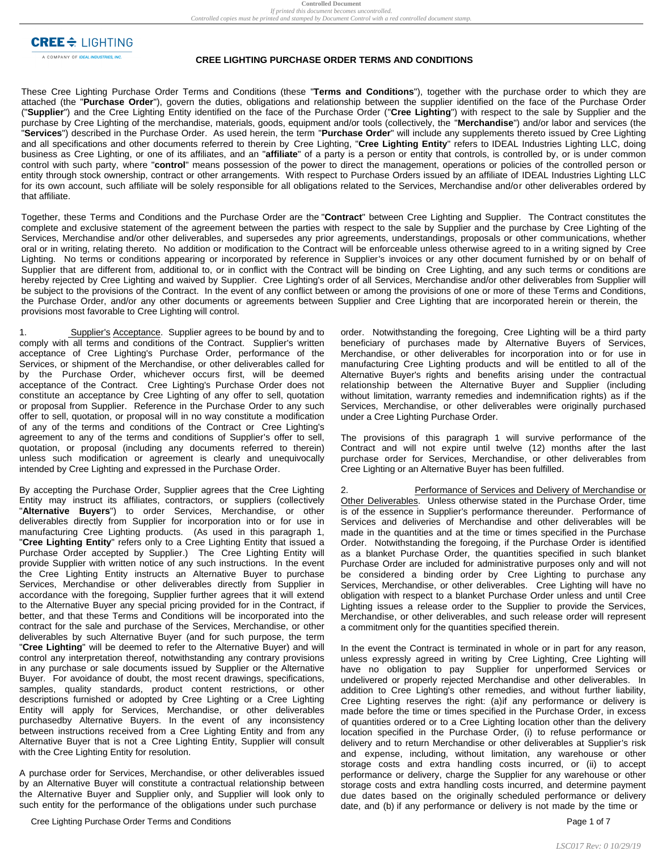**CREE** $\triangleq$  LIGHTING

A COMPANY OF IDEAL INDUSTRIES, INC.

## **CREE LIGHTING PURCHASE ORDER TERMS AND CONDITIONS**

These Cree Lighting Purchase Order Terms and Conditions (these "**Terms and Conditions**"), together with the purchase order to which they are attached (the "**Purchase Order**"), govern the duties, obligations and relationship between the supplier identified on the face of the Purchase Order ("**Supplier**") and the Cree Lighting Entity identified on the face of the Purchase Order ("**Cree Lighting**") with respect to the sale by Supplier and the purchase by Cree Lighting of the merchandise, materials, goods, equipment and/or tools (collectively, the "**Merchandise**") and/or labor and services (the "**Services**") described in the Purchase Order. As used herein, the term "**Purchase Order**" will include any supplements thereto issued by Cree Lighting and all specifications and other documents referred to therein by Cree Lighting, "**Cree Lighting Entity**" refers to IDEAL Industries Lighting LLC, doing business as Cree Lighting, or one of its affiliates, and an "**affiliate**" of a party is a person or entity that controls, is controlled by, or is under common control with such party, where "**control**" means possession of the power to direct the management, operations or policies of the controlled person or entity through stock ownership, contract or other arrangements. With respect to Purchase Orders issued by an affiliate of IDEAL Industries Lighting LLC for its own account, such affiliate will be solely responsible for all obligations related to the Services, Merchandise and/or other deliverables ordered by that affiliate.

Together, these Terms and Conditions and the Purchase Order are the "**Contract**" between Cree Lighting and Supplier. The Contract constitutes the complete and exclusive statement of the agreement between the parties with respect to the sale by Supplier and the purchase by Cree Lighting of the Services, Merchandise and/or other deliverables, and supersedes any prior agreements, understandings, proposals or other communications, whether oral or in writing, relating thereto. No addition or modification to the Contract will be enforceable unless otherwise agreed to in a writing signed by Cree Lighting. No terms or conditions appearing or incorporated by reference in Supplier's invoices or any other document furnished by or on behalf of Supplier that are different from, additional to, or in conflict with the Contract will be binding on Cree Lighting, and any such terms or conditions are hereby rejected by Cree Lighting and waived by Supplier. Cree Lighting's order of all Services, Merchandise and/or other deliverables from Supplier will be subject to the provisions of the Contract. In the event of any conflict between or among the provisions of one or more of these Terms and Conditions, the Purchase Order, and/or any other documents or agreements between Supplier and Cree Lighting that are incorporated herein or therein, the provisions most favorable to Cree Lighting will control.

1. Supplier's Acceptance. Supplier agrees to be bound by and to comply with all terms and conditions of the Contract. Supplier's written acceptance of Cree Lighting's Purchase Order, performance of the Services, or shipment of the Merchandise, or other deliverables called for by the Purchase Order, whichever occurs first, will be deemed acceptance of the Contract. Cree Lighting's Purchase Order does not constitute an acceptance by Cree Lighting of any offer to sell, quotation or proposal from Supplier. Reference in the Purchase Order to any such offer to sell, quotation, or proposal will in no way constitute a modification of any of the terms and conditions of the Contract or Cree Lighting's agreement to any of the terms and conditions of Supplier's offer to sell, quotation, or proposal (including any documents referred to therein) unless such modification or agreement is clearly and unequivocally intended by Cree Lighting and expressed in the Purchase Order.

By accepting the Purchase Order, Supplier agrees that the Cree Lighting Entity may instruct its affiliates, contractors, or suppliers (collectively "**Alternative Buyers**") to order Services, Merchandise, or other deliverables directly from Supplier for incorporation into or for use in manufacturing Cree Lighting products. (As used in this paragraph 1, "**Cree Lighting Entity**" refers only to a Cree Lighting Entity that issued a Purchase Order accepted by Supplier.) The Cree Lighting Entity will provide Supplier with written notice of any such instructions. In the event the Cree Lighting Entity instructs an Alternative Buyer to purchase Services, Merchandise or other deliverables directly from Supplier in accordance with the foregoing, Supplier further agrees that it will extend to the Alternative Buyer any special pricing provided for in the Contract, if better, and that these Terms and Conditions will be incorporated into the contract for the sale and purchase of the Services, Merchandise, or other deliverables by such Alternative Buyer (and for such purpose, the term "**Cree Lighting**" will be deemed to refer to the Alternative Buyer) and will control any interpretation thereof, notwithstanding any contrary provisions in any purchase or sale documents issued by Supplier or the Alternative Buyer. For avoidance of doubt, the most recent drawings, specifications, samples, quality standards, product content restrictions, or other descriptions furnished or adopted by Cree Lighting or a Cree Lighting Entity will apply for Services, Merchandise, or other deliverables purchasedby Alternative Buyers. In the event of any inconsistency between instructions received from a Cree Lighting Entity and from any Alternative Buyer that is not a Cree Lighting Entity, Supplier will consult with the Cree Lighting Entity for resolution.

A purchase order for Services, Merchandise, or other deliverables issued by an Alternative Buyer will constitute a contractual relationship between the Alternative Buyer and Supplier only, and Supplier will look only to such entity for the performance of the obligations under such purchase

Cree Lighting Purchase Order Terms and Conditions **Page 1 of 7** and 2001 1 of 7 and 2008 1 of 7 and 2008 1 of 7 and 2008 1 of 7 and 2008 1 of 7 and 2008 1 of 7 and 2008 1 of 7 and 2008 1 of 7 and 2008 1 of 7 and 2008 1 of

order. Notwithstanding the foregoing, Cree Lighting will be a third party beneficiary of purchases made by Alternative Buyers of Services, Merchandise, or other deliverables for incorporation into or for use in manufacturing Cree Lighting products and will be entitled to all of the Alternative Buyer's rights and benefits arising under the contractual relationship between the Alternative Buyer and Supplier (including without limitation, warranty remedies and indemnification rights) as if the Services, Merchandise, or other deliverables were originally purchased under a Cree Lighting Purchase Order.

The provisions of this paragraph 1 will survive performance of the Contract and will not expire until twelve (12) months after the last purchase order for Services, Merchandise, or other deliverables from Cree Lighting or an Alternative Buyer has been fulfilled.

Performance of Services and Delivery of Merchandise or Other Deliverables. Unless otherwise stated in the Purchase Order, time is of the essence in Supplier's performance thereunder. Performance of Services and deliveries of Merchandise and other deliverables will be made in the quantities and at the time or times specified in the Purchase Order. Notwithstanding the foregoing, if the Purchase Order is identified as a blanket Purchase Order, the quantities specified in such blanket Purchase Order are included for administrative purposes only and will not be considered a binding order by Cree Lighting to purchase any Services, Merchandise, or other deliverables. Cree Lighting will have no obligation with respect to a blanket Purchase Order unless and until Cree Lighting issues a release order to the Supplier to provide the Services, Merchandise, or other deliverables, and such release order will represent a commitment only for the quantities specified therein.

In the event the Contract is terminated in whole or in part for any reason, unless expressly agreed in writing by Cree Lighting, Cree Lighting will have no obligation to pay Supplier for unperformed Services or undelivered or properly rejected Merchandise and other deliverables. In addition to Cree Lighting's other remedies, and without further liability, Cree Lighting reserves the right: (a)if any performance or delivery is made before the time or times specified in the Purchase Order, in excess of quantities ordered or to a Cree Lighting location other than the delivery location specified in the Purchase Order, (i) to refuse performance or delivery and to return Merchandise or other deliverables at Supplier's risk and expense, including, without limitation, any warehouse or other storage costs and extra handling costs incurred, or (ii) to accept performance or delivery, charge the Supplier for any warehouse or other storage costs and extra handling costs incurred, and determine payment due dates based on the originally scheduled performance or delivery date, and (b) if any performance or delivery is not made by the time or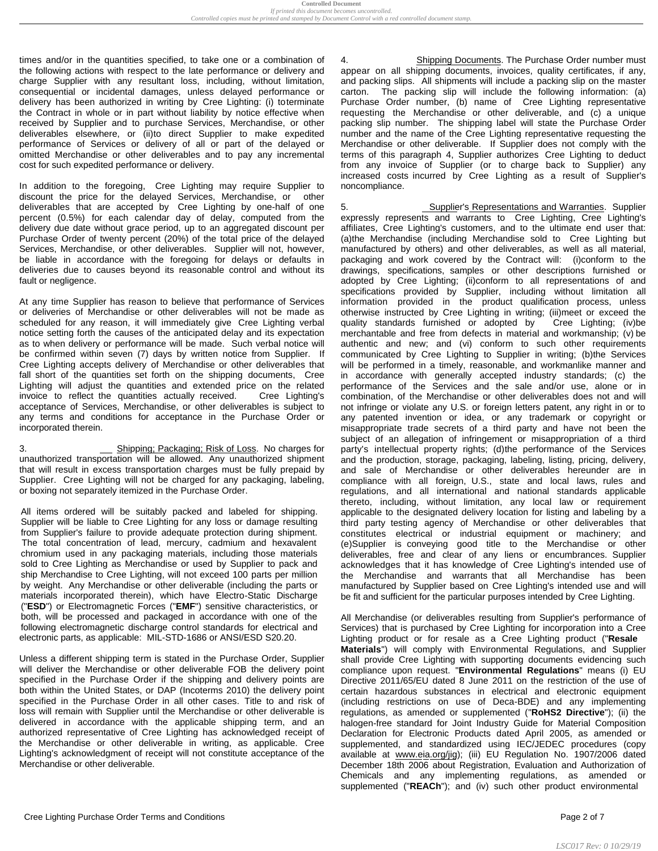times and/or in the quantities specified, to take one or a combination of the following actions with respect to the late performance or delivery and charge Supplier with any resultant loss, including, without limitation, consequential or incidental damages, unless delayed performance or delivery has been authorized in writing by Cree Lighting: (i) toterminate the Contract in whole or in part without liability by notice effective when received by Supplier and to purchase Services, Merchandise, or other deliverables elsewhere, or (ii)to direct Supplier to make expedited performance of Services or delivery of all or part of the delayed or omitted Merchandise or other deliverables and to pay any incremental cost for such expedited performance or delivery.

In addition to the foregoing, Cree Lighting may require Supplier to discount the price for the delayed Services, Merchandise, or other deliverables that are accepted by Cree Lighting by one-half of one percent (0.5%) for each calendar day of delay, computed from the delivery due date without grace period, up to an aggregated discount per Purchase Order of twenty percent (20%) of the total price of the delayed Services, Merchandise, or other deliverables. Supplier will not, however, be liable in accordance with the foregoing for delays or defaults in deliveries due to causes beyond its reasonable control and without its fault or negligence.

At any time Supplier has reason to believe that performance of Services or deliveries of Merchandise or other deliverables will not be made as scheduled for any reason, it will immediately give Cree Lighting verbal notice setting forth the causes of the anticipated delay and its expectation as to when delivery or performance will be made. Such verbal notice will be confirmed within seven (7) days by written notice from Supplier. If Cree Lighting accepts delivery of Merchandise or other deliverables that fall short of the quantities set forth on the shipping documents, Cree Lighting will adjust the quantities and extended price on the related invoice to reflect the quantities actually received. Cree Lighting's acceptance of Services, Merchandise, or other deliverables is subject to any terms and conditions for acceptance in the Purchase Order or incorporated therein.

3. Shipping; Packaging; Risk of Loss. No charges for unauthorized transportation will be allowed. Any unauthorized shipment that will result in excess transportation charges must be fully prepaid by Supplier. Cree Lighting will not be charged for any packaging, labeling, or boxing not separately itemized in the Purchase Order.

All items ordered will be suitably packed and labeled for shipping. Supplier will be liable to Cree Lighting for any loss or damage resulting from Supplier's failure to provide adequate protection during shipment. The total concentration of lead, mercury, cadmium and hexavalent chromium used in any packaging materials, including those materials sold to Cree Lighting as Merchandise or used by Supplier to pack and ship Merchandise to Cree Lighting, will not exceed 100 parts per million by weight. Any Merchandise or other deliverable (including the parts or materials incorporated therein), which have Electro-Static Discharge ("**ESD**") or Electromagnetic Forces ("**EMF**") sensitive characteristics, or both, will be processed and packaged in accordance with one of the following electromagnetic discharge control standards for electrical and electronic parts, as applicable: MIL-STD-1686 or ANSI/ESD S20.20.

Unless a different shipping term is stated in the Purchase Order, Supplier will deliver the Merchandise or other deliverable FOB the delivery point specified in the Purchase Order if the shipping and delivery points are both within the United States, or DAP (Incoterms 2010) the delivery point specified in the Purchase Order in all other cases. Title to and risk of loss will remain with Supplier until the Merchandise or other deliverable is delivered in accordance with the applicable shipping term, and an authorized representative of Cree Lighting has acknowledged receipt of the Merchandise or other deliverable in writing, as applicable. Cree Lighting's acknowledgment of receipt will not constitute acceptance of the Merchandise or other deliverable.

Shipping Documents. The Purchase Order number must appear on all shipping documents, invoices, quality certificates, if any, and packing slips. All shipments will include a packing slip on the master carton. The packing slip will include the following information: (a) Purchase Order number, (b) name of Cree Lighting representative requesting the Merchandise or other deliverable, and (c) a unique packing slip number. The shipping label will state the Purchase Order number and the name of the Cree Lighting representative requesting the Merchandise or other deliverable. If Supplier does not comply with the terms of this paragraph 4, Supplier authorizes Cree Lighting to deduct from any invoice of Supplier (or to charge back to Supplier) any increased costs incurred by Cree Lighting as a result of Supplier's noncompliance.

5. Supplier's Representations and Warranties. Supplier expressly represents and warrants to Cree Lighting, Cree Lighting's affiliates, Cree Lighting's customers, and to the ultimate end user that: (a)the Merchandise (including Merchandise sold to Cree Lighting but manufactured by others) and other deliverables, as well as all material, packaging and work covered by the Contract will: (i)conform to the drawings, specifications, samples or other descriptions furnished or adopted by Cree Lighting; (ii)conform to all representations of and specifications provided by Supplier, including without limitation all information provided in the product qualification process, unless otherwise instructed by Cree Lighting in writing; (iii)meet or exceed the quality standards furnished or adopted by Cree Lighting; (iv)be merchantable and free from defects in material and workmanship; (v) be authentic and new; and (vi) conform to such other requirements communicated by Cree Lighting to Supplier in writing; (b)the Services will be performed in a timely, reasonable, and workmanlike manner and in accordance with generally accepted industry standards; (c) the performance of the Services and the sale and/or use, alone or in combination, of the Merchandise or other deliverables does not and will not infringe or violate any U.S. or foreign letters patent, any right in or to any patented invention or idea, or any trademark or copyright or misappropriate trade secrets of a third party and have not been the subject of an allegation of infringement or misappropriation of a third party's intellectual property rights; (d)the performance of the Services and the production, storage, packaging, labeling, listing, pricing, delivery, and sale of Merchandise or other deliverables hereunder are in compliance with all foreign, U.S., state and local laws, rules and regulations, and all international and national standards applicable thereto, including, without limitation, any local law or requirement applicable to the designated delivery location for listing and labeling by a third party testing agency of Merchandise or other deliverables that constitutes electrical or industrial equipment or machinery; and (e)Supplier is conveying good title to the Merchandise or other deliverables, free and clear of any liens or encumbrances. Supplier acknowledges that it has knowledge of Cree Lighting's intended use of the Merchandise and warrants that all Merchandise has been manufactured by Supplier based on Cree Lighting's intended use and will be fit and sufficient for the particular purposes intended by Cree Lighting.

All Merchandise (or deliverables resulting from Supplier's performance of Services) that is purchased by Cree Lighting for incorporation into a Cree Lighting product or for resale as a Cree Lighting product ("**Resale Materials**") will comply with Environmental Regulations, and Supplier shall provide Cree Lighting with supporting documents evidencing such compliance upon request. "**Environmental Regulations**" means (i) EU Directive 2011/65/EU dated 8 June 2011 on the restriction of the use of certain hazardous substances in electrical and electronic equipment (including restrictions on use of Deca-BDE) and any implementing regulations, as amended or supplemented ("**RoHS2 Directive**"); (ii) the halogen-free standard for Joint Industry Guide for Material Composition Declaration for Electronic Products dated April 2005, as amended or supplemented, and standardized using IEC/JEDEC procedures (copy available at [www.eia.org/jig\)](http://www.eia.org/jig); (iii) EU Regulation No. 1907/2006 dated December 18th 2006 about Registration, Evaluation and Authorization of Chemicals and any implementing regulations, as amended or supplemented ("**REACh**"); and (iv) such other product environmental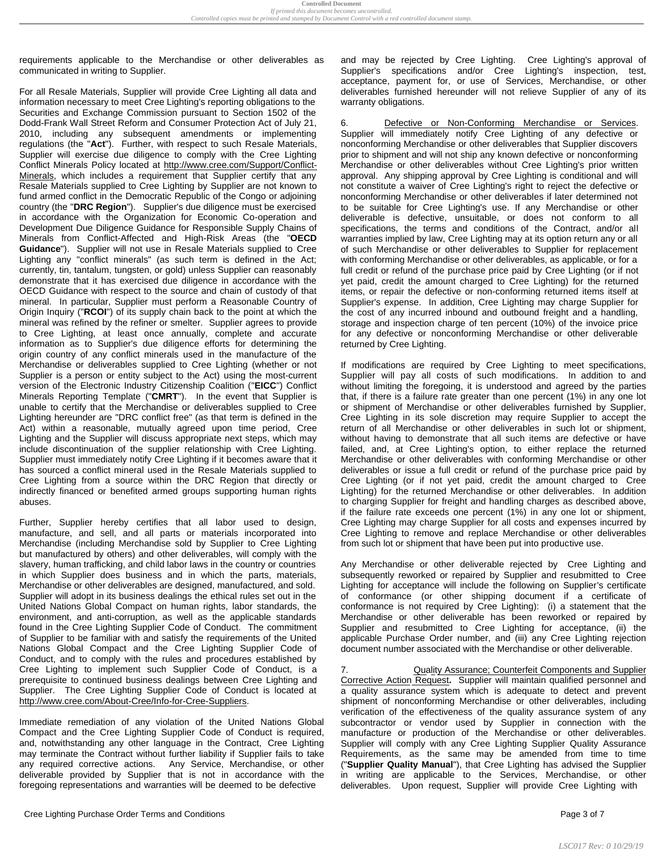requirements applicable to the Merchandise or other deliverables as communicated in writing to Supplier.

For all Resale Materials, Supplier will provide Cree Lighting all data and information necessary to meet Cree Lighting's reporting obligations to the Securities and Exchange Commission pursuant to Section 1502 of the Dodd-Frank Wall Street Reform and Consumer Protection Act of July 21, 2010, including any subsequent amendments or implementing regulations (the "**Act**"). Further, with respect to such Resale Materials, Supplier will exercise due diligence to comply with the Cree Lighting Conflict Minerals Policy located at [http://www.cree.com/Support/Conflict-](http://www.cree.com/Support/Conflict-Minerals)[Minerals,](http://www.cree.com/Support/Conflict-Minerals) which includes a requirement that Supplier certify that any Resale Materials supplied to Cree Lighting by Supplier are not known to fund armed conflict in the Democratic Republic of the Congo or adjoining country (the "**DRC Region**"). Supplier's due diligence must be exercised in accordance with the Organization for Economic Co-operation and Development Due Diligence Guidance for Responsible Supply Chains of Minerals from Conflict-Affected and High-Risk Areas (the "**OECD Guidance**"). Supplier will not use in Resale Materials supplied to Cree Lighting any "conflict minerals" (as such term is defined in the Act; currently, tin, tantalum, tungsten, or gold) unless Supplier can reasonably demonstrate that it has exercised due diligence in accordance with the OECD Guidance with respect to the source and chain of custody of that mineral. In particular, Supplier must perform a Reasonable Country of Origin Inquiry ("**RCOI**") of its supply chain back to the point at which the mineral was refined by the refiner or smelter. Supplier agrees to provide to Cree Lighting, at least once annually, complete and accurate information as to Supplier's due diligence efforts for determining the origin country of any conflict minerals used in the manufacture of the Merchandise or deliverables supplied to Cree Lighting (whether or not Supplier is a person or entity subject to the Act) using the most-current version of the Electronic Industry Citizenship Coalition ("**EICC**") Conflict Minerals Reporting Template ("**CMRT**"). In the event that Supplier is unable to certify that the Merchandise or deliverables supplied to Cree Lighting hereunder are "DRC conflict free" (as that term is defined in the Act) within a reasonable, mutually agreed upon time period, Cree Lighting and the Supplier will discuss appropriate next steps, which may include discontinuation of the supplier relationship with Cree Lighting. Supplier must immediately notify Cree Lighting if it becomes aware that it has sourced a conflict mineral used in the Resale Materials supplied to Cree Lighting from a source within the DRC Region that directly or indirectly financed or benefited armed groups supporting human rights abuses.

Further, Supplier hereby certifies that all labor used to design, manufacture, and sell, and all parts or materials incorporated into Merchandise (including Merchandise sold by Supplier to Cree Lighting but manufactured by others) and other deliverables, will comply with the slavery, human trafficking, and child labor laws in the country or countries in which Supplier does business and in which the parts, materials, Merchandise or other deliverables are designed, manufactured, and sold. Supplier will adopt in its business dealings the ethical rules set out in the United Nations Global Compact on human rights, labor standards, the environment, and anti-corruption, as well as the applicable standards found in the Cree Lighting Supplier Code of Conduct. The commitment of Supplier to be familiar with and satisfy the requirements of the United Nations Global Compact and the Cree Lighting Supplier Code of Conduct, and to comply with the rules and procedures established by Cree Lighting to implement such Supplier Code of Conduct, is a prerequisite to continued business dealings between Cree Lighting and Supplier. The Cree Lighting Supplier Code of Conduct is located at http://www.cree.com/About-Cree/Info-for-Cree-Suppliers.

Immediate remediation of any violation of the United Nations Global Compact and the Cree Lighting Supplier Code of Conduct is required, and, notwithstanding any other language in the Contract, Cree Lighting may terminate the Contract without further liability if Supplier fails to take any required corrective actions. Any Service, Merchandise, or other deliverable provided by Supplier that is not in accordance with the foregoing representations and warranties will be deemed to be defective

Cree Lighting Purchase Order Terms and Conditions **Page 3 of 7** and 2001 12 of 7 and 2001 12 of 7 and 2001 12 of 7

and may be rejected by Cree Lighting. Cree Lighting's approval of Supplier's specifications and/or Cree Lighting's inspection, test, acceptance, payment for, or use of Services, Merchandise, or other deliverables furnished hereunder will not relieve Supplier of any of its warranty obligations.

6. Defective or Non-Conforming Merchandise or Services. Supplier will immediately notify Cree Lighting of any defective or nonconforming Merchandise or other deliverables that Supplier discovers prior to shipment and will not ship any known defective or nonconforming Merchandise or other deliverables without Cree Lighting's prior written approval. Any shipping approval by Cree Lighting is conditional and will not constitute a waiver of Cree Lighting's right to reject the defective or nonconforming Merchandise or other deliverables if later determined not to be suitable for Cree Lighting's use. If any Merchandise or other deliverable is defective, unsuitable, or does not conform to all specifications, the terms and conditions of the Contract, and/or all warranties implied by law, Cree Lighting may at its option return any or all of such Merchandise or other deliverables to Supplier for replacement with conforming Merchandise or other deliverables, as applicable, or for a full credit or refund of the purchase price paid by Cree Lighting (or if not yet paid, credit the amount charged to Cree Lighting) for the returned items, or repair the defective or non-conforming returned items itself at Supplier's expense. In addition, Cree Lighting may charge Supplier for the cost of any incurred inbound and outbound freight and a handling, storage and inspection charge of ten percent (10%) of the invoice price for any defective or nonconforming Merchandise or other deliverable returned by Cree Lighting.

If modifications are required by Cree Lighting to meet specifications, Supplier will pay all costs of such modifications. In addition to and without limiting the foregoing, it is understood and agreed by the parties that, if there is a failure rate greater than one percent (1%) in any one lot or shipment of Merchandise or other deliverables furnished by Supplier, Cree Lighting in its sole discretion may require Supplier to accept the return of all Merchandise or other deliverables in such lot or shipment, without having to demonstrate that all such items are defective or have failed, and, at Cree Lighting's option, to either replace the returned Merchandise or other deliverables with conforming Merchandise or other deliverables or issue a full credit or refund of the purchase price paid by Cree Lighting (or if not yet paid, credit the amount charged to Cree Lighting) for the returned Merchandise or other deliverables. In addition to charging Supplier for freight and handling charges as described above, if the failure rate exceeds one percent (1%) in any one lot or shipment, Cree Lighting may charge Supplier for all costs and expenses incurred by Cree Lighting to remove and replace Merchandise or other deliverables from such lot or shipment that have been put into productive use.

Any Merchandise or other deliverable rejected by Cree Lighting and subsequently reworked or repaired by Supplier and resubmitted to Cree Lighting for acceptance will include the following on Supplier's certificate of conformance (or other shipping document if a certificate of conformance is not required by Cree Lighting): (i) a statement that the Merchandise or other deliverable has been reworked or repaired by Supplier and resubmitted to Cree Lighting for acceptance, (ii) the applicable Purchase Order number, and (iii) any Cree Lighting rejection document number associated with the Merchandise or other deliverable.

7. Quality Assurance; Counterfeit Components and Supplier Corrective Action Request**.** Supplier will maintain qualified personnel and a quality assurance system which is adequate to detect and prevent shipment of nonconforming Merchandise or other deliverables, including verification of the effectiveness of the quality assurance system of any subcontractor or vendor used by Supplier in connection with the manufacture or production of the Merchandise or other deliverables. Supplier will comply with any Cree Lighting Supplier Quality Assurance Requirements, as the same may be amended from time to time ("**Supplier Quality Manual**"), that Cree Lighting has advised the Supplier in writing are applicable to the Services, Merchandise, or other deliverables. Upon request, Supplier will provide Cree Lighting with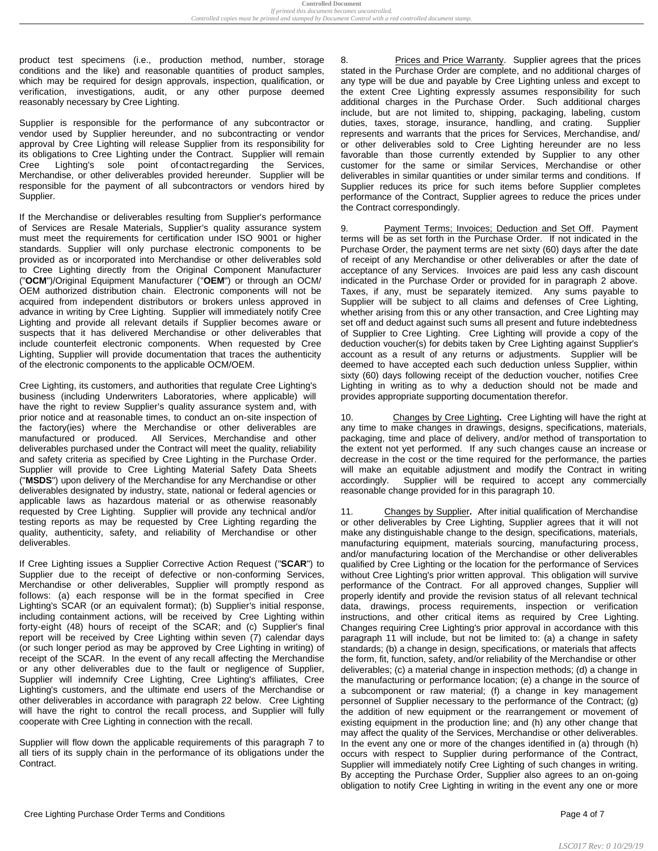product test specimens (i.e., production method, number, storage conditions and the like) and reasonable quantities of product samples, which may be required for design approvals, inspection, qualification, or verification, investigations, audit, or any other purpose deemed reasonably necessary by Cree Lighting.

Supplier is responsible for the performance of any subcontractor or vendor used by Supplier hereunder, and no subcontracting or vendor approval by Cree Lighting will release Supplier from its responsibility for its obligations to Cree Lighting under the Contract. Supplier will remain Cree Lighting's sole point ofcontactregarding the Services, Merchandise, or other deliverables provided hereunder. Supplier will be responsible for the payment of all subcontractors or vendors hired by Supplier.

If the Merchandise or deliverables resulting from Supplier's performance of Services are Resale Materials, Supplier's quality assurance system must meet the requirements for certification under ISO 9001 or higher standards. Supplier will only purchase electronic components to be provided as or incorporated into Merchandise or other deliverables sold to Cree Lighting directly from the Original Component Manufacturer ("**OCM**")/Original Equipment Manufacturer ("**OEM**") or through an OCM/ OEM authorized distribution chain. Electronic components will not be acquired from independent distributors or brokers unless approved in advance in writing by Cree Lighting. Supplier will immediately notify Cree Lighting and provide all relevant details if Supplier becomes aware or suspects that it has delivered Merchandise or other deliverables that include counterfeit electronic components. When requested by Cree Lighting, Supplier will provide documentation that traces the authenticity of the electronic components to the applicable OCM/OEM.

Cree Lighting, its customers, and authorities that regulate Cree Lighting's business (including Underwriters Laboratories, where applicable) will have the right to review Supplier's quality assurance system and, with prior notice and at reasonable times, to conduct an on-site inspection of the factory(ies) where the Merchandise or other deliverables are manufactured or produced. All Services, Merchandise and other deliverables purchased under the Contract will meet the quality, reliability and safety criteria as specified by Cree Lighting in the Purchase Order. Supplier will provide to Cree Lighting Material Safety Data Sheets ("**MSDS**") upon delivery of the Merchandise for any Merchandise or other deliverables designated by industry, state, national or federal agencies or applicable laws as hazardous material or as otherwise reasonably requested by Cree Lighting. Supplier will provide any technical and/or testing reports as may be requested by Cree Lighting regarding the quality, authenticity, safety, and reliability of Merchandise or other deliverables.

If Cree Lighting issues a Supplier Corrective Action Request ("**SCAR**") to Supplier due to the receipt of defective or non-conforming Services, Merchandise or other deliverables, Supplier will promptly respond as follows: (a) each response will be in the format specified in Cree Lighting's SCAR (or an equivalent format); (b) Supplier's initial response, including containment actions, will be received by Cree Lighting within forty-eight (48) hours of receipt of the SCAR; and (c) Supplier's final report will be received by Cree Lighting within seven (7) calendar days (or such longer period as may be approved by Cree Lighting in writing) of receipt of the SCAR. In the event of any recall affecting the Merchandise or any other deliverables due to the fault or negligence of Supplier, Supplier will indemnify Cree Lighting, Cree Lighting's affiliates, Cree Lighting's customers, and the ultimate end users of the Merchandise or other deliverables in accordance with paragraph 22 below. Cree Lighting will have the right to control the recall process, and Supplier will fully cooperate with Cree Lighting in connection with the recall.

Supplier will flow down the applicable requirements of this paragraph 7 to all tiers of its supply chain in the performance of its obligations under the **Contract.** 

Prices and Price Warranty. Supplier agrees that the prices stated in the Purchase Order are complete, and no additional charges of any type will be due and payable by Cree Lighting unless and except to the extent Cree Lighting expressly assumes responsibility for such additional charges in the Purchase Order. Such additional charges include, but are not limited to, shipping, packaging, labeling, custom duties, taxes, storage, insurance, handling, and crating. Supplier represents and warrants that the prices for Services, Merchandise, and/ or other deliverables sold to Cree Lighting hereunder are no less favorable than those currently extended by Supplier to any other customer for the same or similar Services, Merchandise or other deliverables in similar quantities or under similar terms and conditions. If Supplier reduces its price for such items before Supplier completes performance of the Contract, Supplier agrees to reduce the prices under the Contract correspondingly.

9. Payment Terms; Invoices; Deduction and Set Off. Payment terms will be as set forth in the Purchase Order. If not indicated in the Purchase Order, the payment terms are net sixty (60) days after the date of receipt of any Merchandise or other deliverables or after the date of acceptance of any Services. Invoices are paid less any cash discount indicated in the Purchase Order or provided for in paragraph 2 above. Taxes, if any, must be separately itemized. Any sums payable to Supplier will be subject to all claims and defenses of Cree Lighting, whether arising from this or any other transaction, and Cree Lighting may set off and deduct against such sums all present and future indebtedness of Supplier to Cree Lighting. Cree Lighting will provide a copy of the deduction voucher(s) for debits taken by Cree Lighting against Supplier's account as a result of any returns or adjustments. Supplier will be deemed to have accepted each such deduction unless Supplier, within sixty (60) days following receipt of the deduction voucher, notifies Cree Lighting in writing as to why a deduction should not be made and provides appropriate supporting documentation therefor.

10. Changes by Cree Lighting**.** Cree Lighting will have the right at any time to make changes in drawings, designs, specifications, materials, packaging, time and place of delivery, and/or method of transportation to the extent not yet performed. If any such changes cause an increase or decrease in the cost or the time required for the performance, the parties will make an equitable adjustment and modify the Contract in writing accordingly. Supplier will be required to accept any commercially reasonable change provided for in this paragraph 10.

11. Changes by Supplier**.** After initial qualification of Merchandise or other deliverables by Cree Lighting, Supplier agrees that it will not make any distinguishable change to the design, specifications, materials, manufacturing equipment, materials sourcing, manufacturing process, and/or manufacturing location of the Merchandise or other deliverables qualified by Cree Lighting or the location for the performance of Services without Cree Lighting's prior written approval. This obligation will survive performance of the Contract. For all approved changes, Supplier will properly identify and provide the revision status of all relevant technical data, drawings, process requirements, inspection or verification instructions, and other critical items as required by Cree Lighting. Changes requiring Cree Lighting's prior approval in accordance with this paragraph 11 will include, but not be limited to: (a) a change in safety standards; (b) a change in design, specifications, or materials that affects the form, fit, function, safety, and/or reliability of the Merchandise or other deliverables; (c) a material change in inspection methods; (d) a change in the manufacturing or performance location; (e) a change in the source of a subcomponent or raw material; (f) a change in key management personnel of Supplier necessary to the performance of the Contract; (g) the addition of new equipment or the rearrangement or movement of existing equipment in the production line; and (h) any other change that may affect the quality of the Services, Merchandise or other deliverables. In the event any one or more of the changes identified in (a) through (h) occurs with respect to Supplier during performance of the Contract, Supplier will immediately notify Cree Lighting of such changes in writing. By accepting the Purchase Order, Supplier also agrees to an on-going obligation to notify Cree Lighting in writing in the event any one or more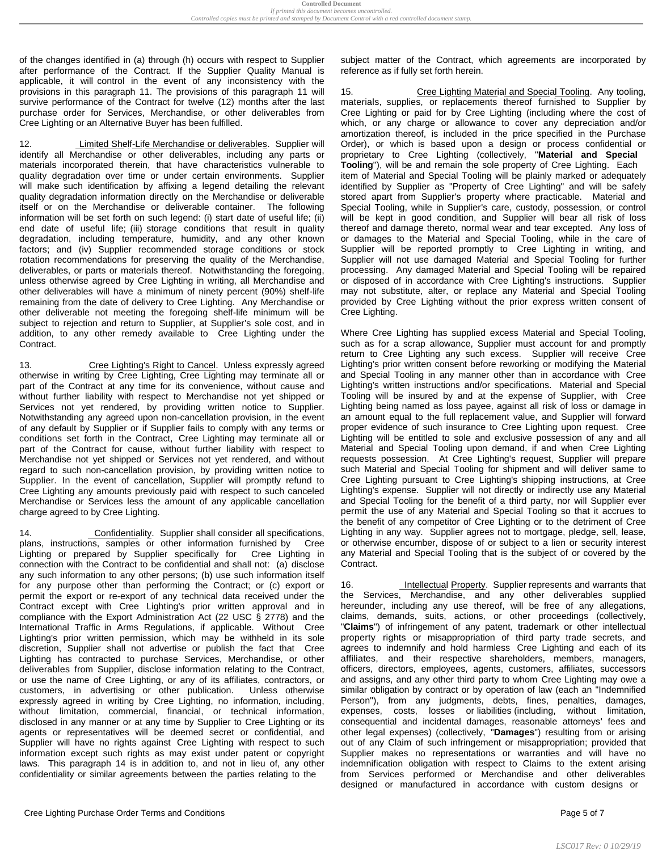of the changes identified in (a) through (h) occurs with respect to Supplier after performance of the Contract. If the Supplier Quality Manual is applicable, it will control in the event of any inconsistency with the provisions in this paragraph 11. The provisions of this paragraph 11 will survive performance of the Contract for twelve (12) months after the last purchase order for Services, Merchandise, or other deliverables from Cree Lighting or an Alternative Buyer has been fulfilled.

12. Limited Shelf-Life Merchandise or deliverables. Supplier will identify all Merchandise or other deliverables, including any parts or materials incorporated therein, that have characteristics vulnerable to quality degradation over time or under certain environments. Supplier will make such identification by affixing a legend detailing the relevant quality degradation information directly on the Merchandise or deliverable itself or on the Merchandise or deliverable container. The following information will be set forth on such legend: (i) start date of useful life; (ii) end date of useful life; (iii) storage conditions that result in quality degradation, including temperature, humidity, and any other known factors; and (iv) Supplier recommended storage conditions or stock rotation recommendations for preserving the quality of the Merchandise, deliverables, or parts or materials thereof. Notwithstanding the foregoing, unless otherwise agreed by Cree Lighting in writing, all Merchandise and other deliverables will have a minimum of ninety percent (90%) shelf-life remaining from the date of delivery to Cree Lighting. Any Merchandise or other deliverable not meeting the foregoing shelf-life minimum will be subject to rejection and return to Supplier, at Supplier's sole cost, and in addition, to any other remedy available to Cree Lighting under the Contract.

13. Cree Lighting's Right to Cancel. Unless expressly agreed otherwise in writing by Cree Lighting, Cree Lighting may terminate all or part of the Contract at any time for its convenience, without cause and without further liability with respect to Merchandise not yet shipped or Services not yet rendered, by providing written notice to Supplier. Notwithstanding any agreed upon non-cancellation provision, in the event of any default by Supplier or if Supplier fails to comply with any terms or conditions set forth in the Contract, Cree Lighting may terminate all or part of the Contract for cause, without further liability with respect to Merchandise not yet shipped or Services not yet rendered, and without regard to such non-cancellation provision, by providing written notice to Supplier. In the event of cancellation, Supplier will promptly refund to Cree Lighting any amounts previously paid with respect to such canceled Merchandise or Services less the amount of any applicable cancellation charge agreed to by Cree Lighting.

14. Confidentiality. Supplier shall consider all specifications, plans, instructions, samples or other information furnished by Cree Lighting or prepared by Supplier specifically for Cree Lighting in connection with the Contract to be confidential and shall not: (a) disclose any such information to any other persons; (b) use such information itself for any purpose other than performing the Contract; or (c) export or permit the export or re-export of any technical data received under the Contract except with Cree Lighting's prior written approval and in compliance with the Export Administration Act (22 USC § 2778) and the International Traffic in Arms Regulations, if applicable. Without Cree Lighting's prior written permission, which may be withheld in its sole discretion, Supplier shall not advertise or publish the fact that Cree Lighting has contracted to purchase Services, Merchandise, or other deliverables from Supplier, disclose information relating to the Contract, or use the name of Cree Lighting, or any of its affiliates, contractors, or customers, in advertising or other publication. Unless otherwise expressly agreed in writing by Cree Lighting, no information, including, without limitation, commercial, financial, or technical information, disclosed in any manner or at any time by Supplier to Cree Lighting or its agents or representatives will be deemed secret or confidential, and Supplier will have no rights against Cree Lighting with respect to such information except such rights as may exist under patent or copyright laws. This paragraph 14 is in addition to, and not in lieu of, any other confidentiality or similar agreements between the parties relating to the

subject matter of the Contract, which agreements are incorporated by reference as if fully set forth herein.

15. Cree Lighting Material and Special Tooling. Any tooling, materials, supplies, or replacements thereof furnished to Supplier by Cree Lighting or paid for by Cree Lighting (including where the cost of which, or any charge or allowance to cover any depreciation and/or amortization thereof, is included in the price specified in the Purchase Order), or which is based upon a design or process confidential or proprietary to Cree Lighting (collectively, "**Material and Special Tooling**"), will be and remain the sole property of Cree Lighting. Each item of Material and Special Tooling will be plainly marked or adequately identified by Supplier as "Property of Cree Lighting" and will be safely stored apart from Supplier's property where practicable. Material and Special Tooling, while in Supplier's care, custody, possession, or control will be kept in good condition, and Supplier will bear all risk of loss thereof and damage thereto, normal wear and tear excepted. Any loss of or damages to the Material and Special Tooling, while in the care of Supplier will be reported promptly to Cree Lighting in writing, and Supplier will not use damaged Material and Special Tooling for further processing. Any damaged Material and Special Tooling will be repaired or disposed of in accordance with Cree Lighting's instructions. Supplier may not substitute, alter, or replace any Material and Special Tooling provided by Cree Lighting without the prior express written consent of Cree Lighting.

Where Cree Lighting has supplied excess Material and Special Tooling, such as for a scrap allowance, Supplier must account for and promptly return to Cree Lighting any such excess. Supplier will receive Cree Lighting's prior written consent before reworking or modifying the Material and Special Tooling in any manner other than in accordance with Cree Lighting's written instructions and/or specifications. Material and Special Tooling will be insured by and at the expense of Supplier, with Cree Lighting being named as loss payee, against all risk of loss or damage in an amount equal to the full replacement value, and Supplier will forward proper evidence of such insurance to Cree Lighting upon request. Cree Lighting will be entitled to sole and exclusive possession of any and all Material and Special Tooling upon demand, if and when Cree Lighting requests possession. At Cree Lighting's request, Supplier will prepare such Material and Special Tooling for shipment and will deliver same to Cree Lighting pursuant to Cree Lighting's shipping instructions, at Cree Lighting's expense. Supplier will not directly or indirectly use any Material and Special Tooling for the benefit of a third party, nor will Supplier ever permit the use of any Material and Special Tooling so that it accrues to the benefit of any competitor of Cree Lighting or to the detriment of Cree Lighting in any way. Supplier agrees not to mortgage, pledge, sell, lease, or otherwise encumber, dispose of or subject to a lien or security interest any Material and Special Tooling that is the subject of or covered by the Contract.

16. Intellectual Property. Supplier represents and warrants that the Services, Merchandise, and any other deliverables supplied hereunder, including any use thereof, will be free of any allegations, claims, demands, suits, actions, or other proceedings (collectively, "**Claims**") of infringement of any patent, trademark or other intellectual property rights or misappropriation of third party trade secrets, and agrees to indemnify and hold harmless Cree Lighting and each of its affiliates, and their respective shareholders, members, managers, officers, directors, employees, agents, customers, affiliates, successors and assigns, and any other third party to whom Cree Lighting may owe a similar obligation by contract or by operation of law (each an "Indemnified Person"), from any judgments, debts, fines, penalties, damages, expenses, costs, losses or liabilities (including, without limitation, consequential and incidental damages, reasonable attorneys' fees and other legal expenses) (collectively, "**Damages**") resulting from or arising out of any Claim of such infringement or misappropriation; provided that Supplier makes no representations or warranties and will have no indemnification obligation with respect to Claims to the extent arising from Services performed or Merchandise and other deliverables designed or manufactured in accordance with custom designs or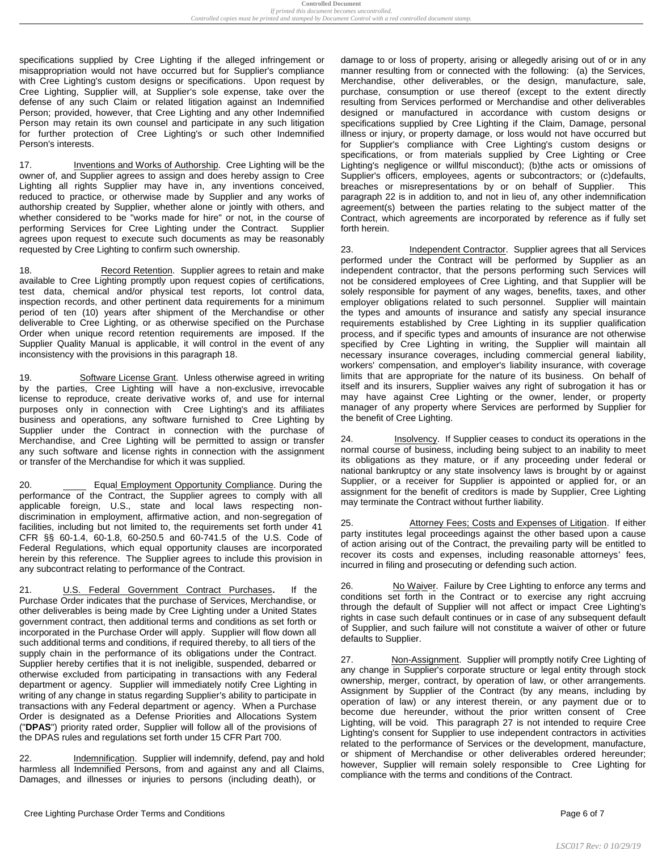specifications supplied by Cree Lighting if the alleged infringement or misappropriation would not have occurred but for Supplier's compliance with Cree Lighting's custom designs or specifications. Upon request by Cree Lighting, Supplier will, at Supplier's sole expense, take over the defense of any such Claim or related litigation against an Indemnified Person; provided, however, that Cree Lighting and any other Indemnified Person may retain its own counsel and participate in any such litigation for further protection of Cree Lighting's or such other Indemnified Person's interests.

17. Inventions and Works of Authorship. Cree Lighting will be the owner of, and Supplier agrees to assign and does hereby assign to Cree Lighting all rights Supplier may have in, any inventions conceived, reduced to practice, or otherwise made by Supplier and any works of authorship created by Supplier, whether alone or jointly with others, and whether considered to be "works made for hire" or not, in the course of performing Services for Cree Lighting under the Contract. Supplier agrees upon request to execute such documents as may be reasonably requested by Cree Lighting to confirm such ownership.

18. Record Retention. Supplier agrees to retain and make available to Cree Lighting promptly upon request copies of certifications, test data, chemical and/or physical test reports, lot control data, inspection records, and other pertinent data requirements for a minimum period of ten (10) years after shipment of the Merchandise or other deliverable to Cree Lighting, or as otherwise specified on the Purchase Order when unique record retention requirements are imposed. If the Supplier Quality Manual is applicable, it will control in the event of any inconsistency with the provisions in this paragraph 18.

19. Software License Grant. Unless otherwise agreed in writing by the parties, Cree Lighting will have a non-exclusive, irrevocable license to reproduce, create derivative works of, and use for internal purposes only in connection with Cree Lighting's and its affiliates business and operations, any software furnished to Cree Lighting by Supplier under the Contract in connection with the purchase of Merchandise, and Cree Lighting will be permitted to assign or transfer any such software and license rights in connection with the assignment or transfer of the Merchandise for which it was supplied.

20. **Equal Employment Opportunity Compliance.** During the performance of the Contract, the Supplier agrees to comply with all applicable foreign, U.S., state and local laws respecting nondiscrimination in employment, affirmative action, and non-segregation of facilities, including but not limited to, the requirements set forth under 41 CFR §§ 60-1.4, 60-1.8, 60-250.5 and 60-741.5 of the U.S. Code of Federal Regulations, which equal opportunity clauses are incorporated herein by this reference. The Supplier agrees to include this provision in any subcontract relating to performance of the Contract.

21. U.S. Federal Government Contract Purchases**.** If the Purchase Order indicates that the purchase of Services, Merchandise, or other deliverables is being made by Cree Lighting under a United States government contract, then additional terms and conditions as set forth or incorporated in the Purchase Order will apply. Supplier will flow down all such additional terms and conditions, if required thereby, to all tiers of the supply chain in the performance of its obligations under the Contract. Supplier hereby certifies that it is not ineligible, suspended, debarred or otherwise excluded from participating in transactions with any Federal department or agency. Supplier will immediately notify Cree Lighting in writing of any change in status regarding Supplier's ability to participate in transactions with any Federal department or agency. When a Purchase Order is designated as a Defense Priorities and Allocations System ("**DPAS**") priority rated order, Supplier will follow all of the provisions of the DPAS rules and regulations set forth under 15 CFR Part 700.

22. Indemnification. Supplier will indemnify, defend, pay and hold harmless all Indemnified Persons, from and against any and all Claims, Damages, and illnesses or injuries to persons (including death), or

Cree Lighting Purchase Order Terms and Conditions **Page 6 of 7** and 2001 12 and 2008 12 and 2008 12 and 2008 12 and 2008 12 and 2008 12 and 2008 12 and 2008 12 and 2008 12 and 2008 12 and 2008 12 and 2008 12 and 2008 12 an

damage to or loss of property, arising or allegedly arising out of or in any manner resulting from or connected with the following: (a) the Services, Merchandise, other deliverables, or the design, manufacture, sale, purchase, consumption or use thereof (except to the extent directly resulting from Services performed or Merchandise and other deliverables designed or manufactured in accordance with custom designs or specifications supplied by Cree Lighting if the Claim, Damage, personal illness or injury, or property damage, or loss would not have occurred but for Supplier's compliance with Cree Lighting's custom designs or specifications, or from materials supplied by Cree Lighting or Cree Lighting's negligence or willful misconduct); (b)the acts or omissions of Supplier's officers, employees, agents or subcontractors; or (c)defaults, breaches or misrepresentations by or on behalf of Supplier. This paragraph 22 is in addition to, and not in lieu of, any other indemnification agreement(s) between the parties relating to the subject matter of the Contract, which agreements are incorporated by reference as if fully set forth herein.

23. Independent Contractor. Supplier agrees that all Services performed under the Contract will be performed by Supplier as an independent contractor, that the persons performing such Services will not be considered employees of Cree Lighting, and that Supplier will be solely responsible for payment of any wages, benefits, taxes, and other employer obligations related to such personnel. Supplier will maintain the types and amounts of insurance and satisfy any special insurance requirements established by Cree Lighting in its supplier qualification process, and if specific types and amounts of insurance are not otherwise specified by Cree Lighting in writing, the Supplier will maintain all necessary insurance coverages, including commercial general liability, workers' compensation, and employer's liability insurance, with coverage limits that are appropriate for the nature of its business. On behalf of itself and its insurers, Supplier waives any right of subrogation it has or may have against Cree Lighting or the owner, lender, or property manager of any property where Services are performed by Supplier for the benefit of Cree Lighting.

24. Insolvency. If Supplier ceases to conduct its operations in the normal course of business, including being subject to an inability to meet its obligations as they mature, or if any proceeding under federal or national bankruptcy or any state insolvency laws is brought by or against Supplier, or a receiver for Supplier is appointed or applied for, or an assignment for the benefit of creditors is made by Supplier, Cree Lighting may terminate the Contract without further liability.

25. Attorney Fees; Costs and Expenses of Litigation. If either party institutes legal proceedings against the other based upon a cause of action arising out of the Contract, the prevailing party will be entitled to recover its costs and expenses, including reasonable attorneys' fees, incurred in filing and prosecuting or defending such action.

26. No Waiver. Failure by Cree Lighting to enforce any terms and conditions set forth in the Contract or to exercise any right accruing through the default of Supplier will not affect or impact Cree Lighting's rights in case such default continues or in case of any subsequent default of Supplier, and such failure will not constitute a waiver of other or future defaults to Supplier.

27. Non-Assignment. Supplier will promptly notify Cree Lighting of any change in Supplier's corporate structure or legal entity through stock ownership, merger, contract, by operation of law, or other arrangements. Assignment by Supplier of the Contract (by any means, including by operation of law) or any interest therein, or any payment due or to become due hereunder, without the prior written consent of Cree Lighting, will be void. This paragraph 27 is not intended to require Cree Lighting's consent for Supplier to use independent contractors in activities related to the performance of Services or the development, manufacture, or shipment of Merchandise or other deliverables ordered hereunder; however, Supplier will remain solely responsible to Cree Lighting for compliance with the terms and conditions of the Contract.